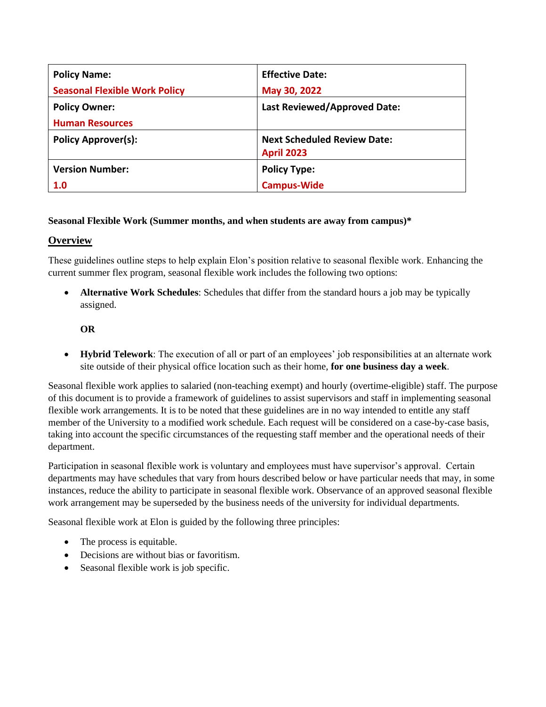| <b>Policy Name:</b>                  | <b>Effective Date:</b>              |
|--------------------------------------|-------------------------------------|
| <b>Seasonal Flexible Work Policy</b> | May 30, 2022                        |
| <b>Policy Owner:</b>                 | <b>Last Reviewed/Approved Date:</b> |
| <b>Human Resources</b>               |                                     |
| <b>Policy Approver(s):</b>           | <b>Next Scheduled Review Date:</b>  |
|                                      | <b>April 2023</b>                   |
| <b>Version Number:</b>               | <b>Policy Type:</b>                 |
| 1.0                                  | <b>Campus-Wide</b>                  |

### **Seasonal Flexible Work (Summer months, and when students are away from campus)\***

### **Overview**

These guidelines outline steps to help explain Elon's position relative to seasonal flexible work. Enhancing the current summer flex program, seasonal flexible work includes the following two options:

• **Alternative Work Schedules**: Schedules that differ from the standard hours a job may be typically assigned.

### **OR**

• **Hybrid Telework**: The execution of all or part of an employees' job responsibilities at an alternate work site outside of their physical office location such as their home, **for one business day a week**.

Seasonal flexible work applies to salaried (non-teaching exempt) and hourly (overtime-eligible) staff. The purpose of this document is to provide a framework of guidelines to assist supervisors and staff in implementing seasonal flexible work arrangements. It is to be noted that these guidelines are in no way intended to entitle any staff member of the University to a modified work schedule. Each request will be considered on a case-by-case basis, taking into account the specific circumstances of the requesting staff member and the operational needs of their department.

Participation in seasonal flexible work is voluntary and employees must have supervisor's approval. Certain departments may have schedules that vary from hours described below or have particular needs that may, in some instances, reduce the ability to participate in seasonal flexible work. Observance of an approved seasonal flexible work arrangement may be superseded by the business needs of the university for individual departments.

Seasonal flexible work at Elon is guided by the following three principles:

- The process is equitable.
- Decisions are without bias or favoritism.
- Seasonal flexible work is job specific.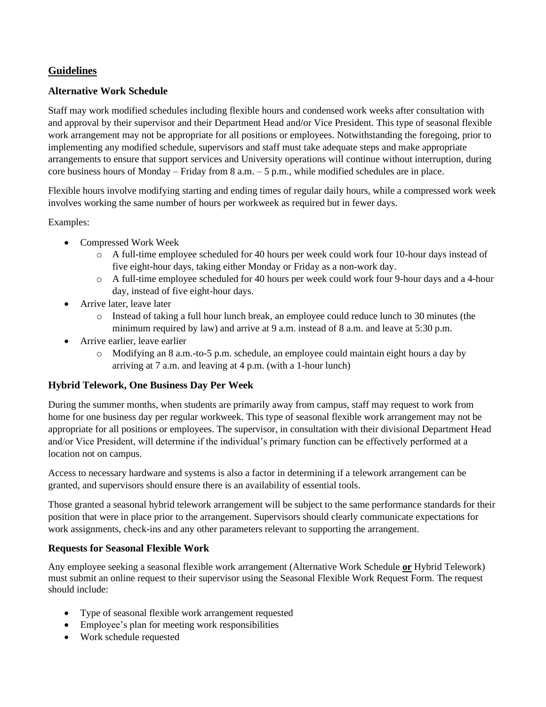# **Guidelines**

## **Alternative Work Schedule**

Staff may work modified schedules including flexible hours and condensed work weeks after consultation with and approval by their supervisor and their Department Head and/or Vice President. This type of seasonal flexible work arrangement may not be appropriate for all positions or employees. Notwithstanding the foregoing, prior to implementing any modified schedule, supervisors and staff must take adequate steps and make appropriate arrangements to ensure that support services and University operations will continue without interruption, during core business hours of Monday – Friday from 8 a.m. – 5 p.m., while modified schedules are in place.

Flexible hours involve modifying starting and ending times of regular daily hours, while a compressed work week involves working the same number of hours per workweek as required but in fewer days.

Examples:

- Compressed Work Week
	- o A full-time employee scheduled for 40 hours per week could work four 10-hour days instead of five eight-hour days, taking either Monday or Friday as a non-work day.
	- o A full-time employee scheduled for 40 hours per week could work four 9-hour days and a 4-hour day, instead of five eight-hour days.
- Arrive later, leave later
	- o Instead of taking a full hour lunch break, an employee could reduce lunch to 30 minutes (the minimum required by law) and arrive at 9 a.m. instead of 8 a.m. and leave at 5:30 p.m.
- Arrive earlier, leave earlier
	- o Modifying an 8 a.m.-to-5 p.m. schedule, an employee could maintain eight hours a day by arriving at 7 a.m. and leaving at 4 p.m. (with a 1-hour lunch)

### **Hybrid Telework, One Business Day Per Week**

During the summer months, when students are primarily away from campus, staff may request to work from home for one business day per regular workweek. This type of seasonal flexible work arrangement may not be appropriate for all positions or employees. The supervisor, in consultation with their divisional Department Head and/or Vice President, will determine if the individual's primary function can be effectively performed at a location not on campus.

Access to necessary hardware and systems is also a factor in determining if a telework arrangement can be granted, and supervisors should ensure there is an availability of essential tools.

Those granted a seasonal hybrid telework arrangement will be subject to the same performance standards for their position that were in place prior to the arrangement. Supervisors should clearly communicate expectations for work assignments, check-ins and any other parameters relevant to supporting the arrangement.

### **Requests for Seasonal Flexible Work**

Any employee seeking a seasonal flexible work arrangement (Alternative Work Schedule **or** Hybrid Telework) must submit an online request to their supervisor using the Seasonal Flexible Work Request Form. The request should include:

- Type of seasonal flexible work arrangement requested
- Employee's plan for meeting work responsibilities
- Work schedule requested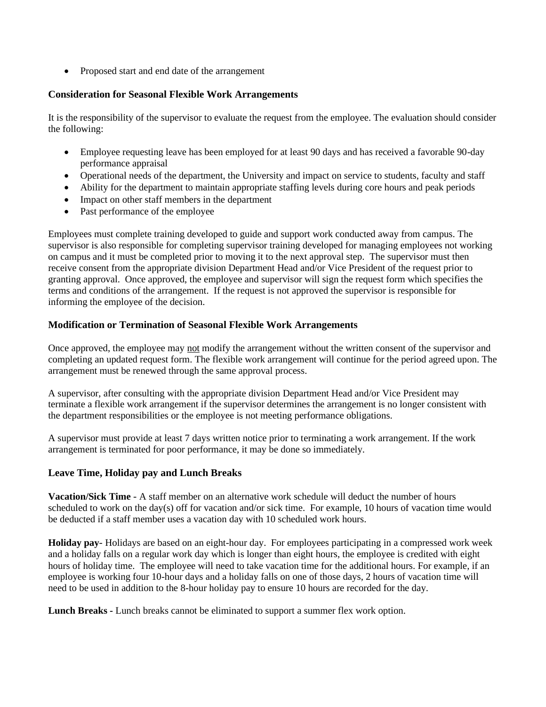• Proposed start and end date of the arrangement

#### **Consideration for Seasonal Flexible Work Arrangements**

It is the responsibility of the supervisor to evaluate the request from the employee. The evaluation should consider the following:

- Employee requesting leave has been employed for at least 90 days and has received a favorable 90-day performance appraisal
- Operational needs of the department, the University and impact on service to students, faculty and staff
- Ability for the department to maintain appropriate staffing levels during core hours and peak periods
- Impact on other staff members in the department
- Past performance of the employee

Employees must complete training developed to guide and support work conducted away from campus. The supervisor is also responsible for completing supervisor training developed for managing employees not working on campus and it must be completed prior to moving it to the next approval step. The supervisor must then receive consent from the appropriate division Department Head and/or Vice President of the request prior to granting approval. Once approved, the employee and supervisor will sign the request form which specifies the terms and conditions of the arrangement. If the request is not approved the supervisor is responsible for informing the employee of the decision.

#### **Modification or Termination of Seasonal Flexible Work Arrangements**

Once approved, the employee may not modify the arrangement without the written consent of the supervisor and completing an updated request form. The flexible work arrangement will continue for the period agreed upon. The arrangement must be renewed through the same approval process.

A supervisor, after consulting with the appropriate division Department Head and/or Vice President may terminate a flexible work arrangement if the supervisor determines the arrangement is no longer consistent with the department responsibilities or the employee is not meeting performance obligations.

A supervisor must provide at least 7 days written notice prior to terminating a work arrangement. If the work arrangement is terminated for poor performance, it may be done so immediately.

### **Leave Time, Holiday pay and Lunch Breaks**

**Vacation/Sick Time** - A staff member on an alternative work schedule will deduct the number of hours scheduled to work on the day(s) off for vacation and/or sick time. For example, 10 hours of vacation time would be deducted if a staff member uses a vacation day with 10 scheduled work hours.

**Holiday pay**- Holidays are based on an eight-hour day. For employees participating in a compressed work week and a holiday falls on a regular work day which is longer than eight hours, the employee is credited with eight hours of holiday time. The employee will need to take vacation time for the additional hours. For example, if an employee is working four 10-hour days and a holiday falls on one of those days, 2 hours of vacation time will need to be used in addition to the 8-hour holiday pay to ensure 10 hours are recorded for the day.

**Lunch Breaks -** Lunch breaks cannot be eliminated to support a summer flex work option.